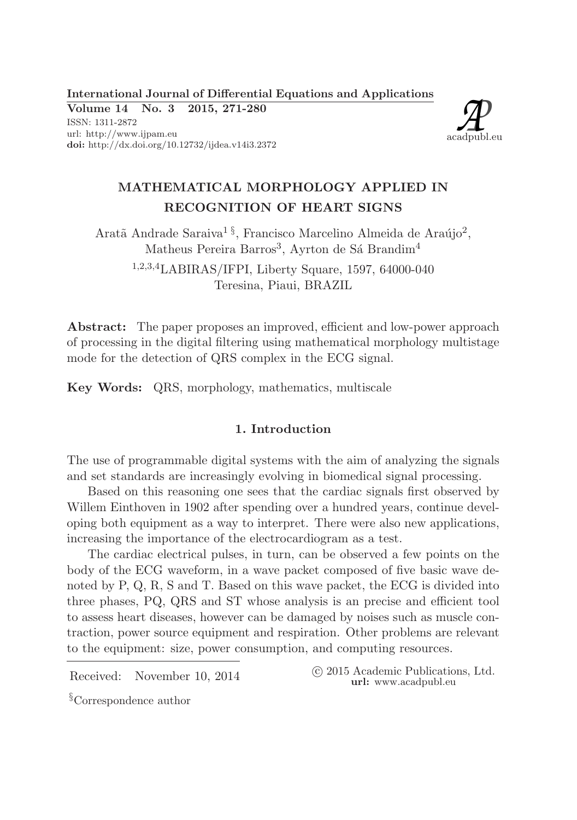International Journal of Differential Equations and Applications

Volume 14 No. 3 2015, 271-280 ISSN: 1311-2872 url: http://www.ijpam.eu doi: http://dx.doi.org/10.12732/ijdea.v14i3.2372



# MATHEMATICAL MORPHOLOGY APPLIED IN RECOGNITION OF HEART SIGNS

Aratã Andrade Saraiva<sup>1§</sup>, Francisco Marcelino Almeida de Araújo<sup>2</sup>, Matheus Pereira Barros<sup>3</sup>, Ayrton de Sá Brandim<sup>4</sup>

<sup>1</sup>,2,3,4LABIRAS/IFPI, Liberty Square, 1597, 64000-040 Teresina, Piaui, BRAZIL

Abstract: The paper proposes an improved, efficient and low-power approach of processing in the digital filtering using mathematical morphology multistage mode for the detection of QRS complex in the ECG signal.

Key Words: QRS, morphology, mathematics, multiscale

#### 1. Introduction

The use of programmable digital systems with the aim of analyzing the signals and set standards are increasingly evolving in biomedical signal processing.

Based on this reasoning one sees that the cardiac signals first observed by Willem Einthoven in 1902 after spending over a hundred years, continue developing both equipment as a way to interpret. There were also new applications, increasing the importance of the electrocardiogram as a test.

The cardiac electrical pulses, in turn, can be observed a few points on the body of the ECG waveform, in a wave packet composed of five basic wave denoted by P, Q, R, S and T. Based on this wave packet, the ECG is divided into three phases, PQ, QRS and ST whose analysis is an precise and efficient tool to assess heart diseases, however can be damaged by noises such as muscle contraction, power source equipment and respiration. Other problems are relevant to the equipment: size, power consumption, and computing resources.

Received: November 10, 2014 
C 2015 Academic Publications, Ltd. url: www.acadpubl.eu

§Correspondence author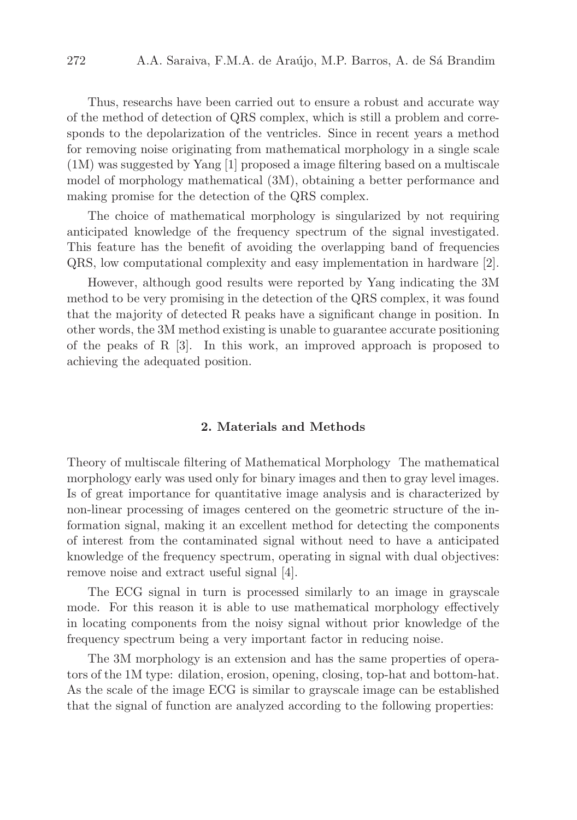Thus, researchs have been carried out to ensure a robust and accurate way of the method of detection of QRS complex, which is still a problem and corresponds to the depolarization of the ventricles. Since in recent years a method for removing noise originating from mathematical morphology in a single scale (1M) was suggested by Yang [1] proposed a image filtering based on a multiscale model of morphology mathematical (3M), obtaining a better performance and making promise for the detection of the QRS complex.

The choice of mathematical morphology is singularized by not requiring anticipated knowledge of the frequency spectrum of the signal investigated. This feature has the benefit of avoiding the overlapping band of frequencies QRS, low computational complexity and easy implementation in hardware [2].

However, although good results were reported by Yang indicating the 3M method to be very promising in the detection of the QRS complex, it was found that the majority of detected R peaks have a significant change in position. In other words, the 3M method existing is unable to guarantee accurate positioning of the peaks of R [3]. In this work, an improved approach is proposed to achieving the adequated position.

### 2. Materials and Methods

Theory of multiscale filtering of Mathematical Morphology The mathematical morphology early was used only for binary images and then to gray level images. Is of great importance for quantitative image analysis and is characterized by non-linear processing of images centered on the geometric structure of the information signal, making it an excellent method for detecting the components of interest from the contaminated signal without need to have a anticipated knowledge of the frequency spectrum, operating in signal with dual objectives: remove noise and extract useful signal [4].

The ECG signal in turn is processed similarly to an image in grayscale mode. For this reason it is able to use mathematical morphology effectively in locating components from the noisy signal without prior knowledge of the frequency spectrum being a very important factor in reducing noise.

The 3M morphology is an extension and has the same properties of operators of the 1M type: dilation, erosion, opening, closing, top-hat and bottom-hat. As the scale of the image ECG is similar to grayscale image can be established that the signal of function are analyzed according to the following properties: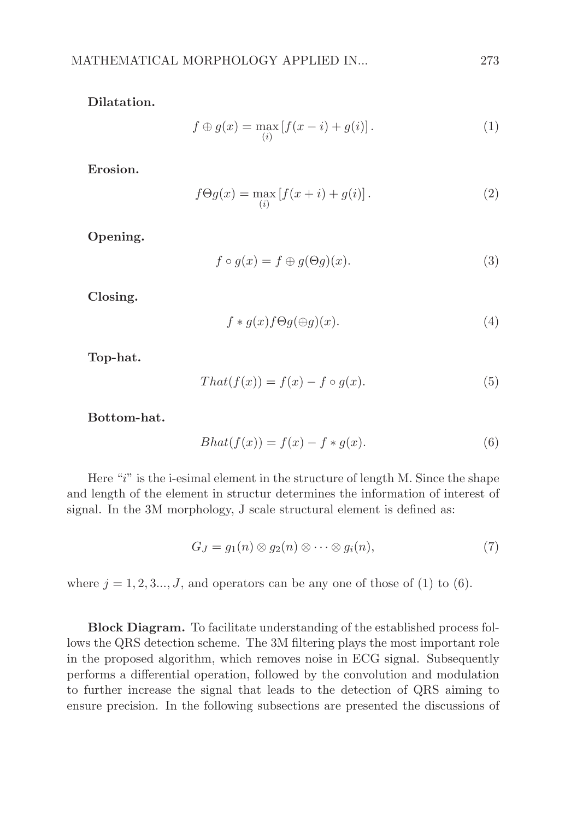Dilatation.

$$
f \oplus g(x) = \max_{(i)} [f(x - i) + g(i)].
$$
 (1)

Erosion.

$$
f\Theta g(x) = \max_{(i)} [f(x+i) + g(i)].
$$
 (2)

Opening.

$$
f \circ g(x) = f \oplus g(\Theta g)(x). \tag{3}
$$

Closing.

$$
f * g(x)f\Theta g(\oplus g)(x).
$$
 (4)

Top-hat.

$$
That(f(x)) = f(x) - f \circ g(x). \tag{5}
$$

Bottom-hat.

$$
Bhat(f(x)) = f(x) - f * g(x).
$$
\n(6)

Here " $i$ " is the i-esimal element in the structure of length M. Since the shape and length of the element in structur determines the information of interest of signal. In the 3M morphology, J scale structural element is defined as:

$$
G_J = g_1(n) \otimes g_2(n) \otimes \cdots \otimes g_i(n), \qquad (7)
$$

where  $j = 1, 2, 3, \ldots, J$ , and operators can be any one of those of (1) to (6).

Block Diagram. To facilitate understanding of the established process follows the QRS detection scheme. The 3M filtering plays the most important role in the proposed algorithm, which removes noise in ECG signal. Subsequently performs a differential operation, followed by the convolution and modulation to further increase the signal that leads to the detection of QRS aiming to ensure precision. In the following subsections are presented the discussions of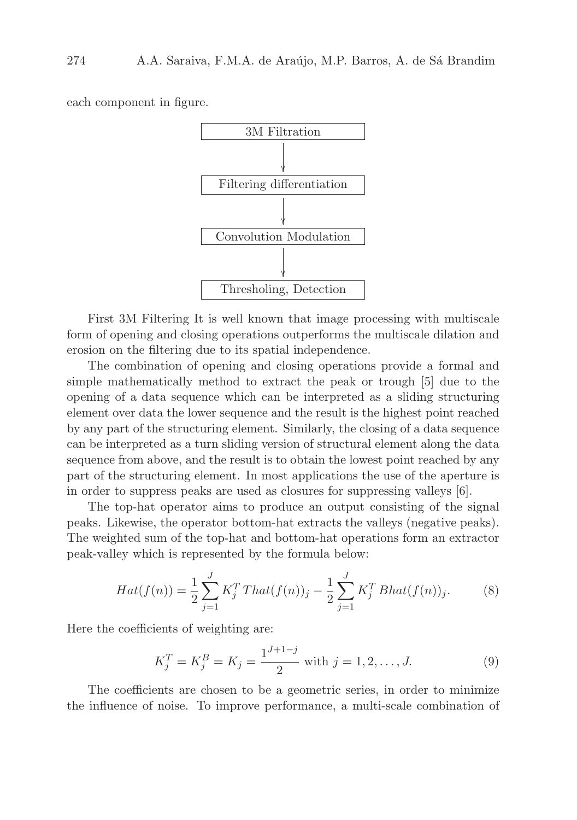each component in figure.



First 3M Filtering It is well known that image processing with multiscale form of opening and closing operations outperforms the multiscale dilation and erosion on the filtering due to its spatial independence.

The combination of opening and closing operations provide a formal and simple mathematically method to extract the peak or trough [5] due to the opening of a data sequence which can be interpreted as a sliding structuring element over data the lower sequence and the result is the highest point reached by any part of the structuring element. Similarly, the closing of a data sequence can be interpreted as a turn sliding version of structural element along the data sequence from above, and the result is to obtain the lowest point reached by any part of the structuring element. In most applications the use of the aperture is in order to suppress peaks are used as closures for suppressing valleys [6].

The top-hat operator aims to produce an output consisting of the signal peaks. Likewise, the operator bottom-hat extracts the valleys (negative peaks). The weighted sum of the top-hat and bottom-hat operations form an extractor peak-valley which is represented by the formula below:

$$
Hat(f(n)) = \frac{1}{2} \sum_{j=1}^{J} K_j^T That(f(n))_j - \frac{1}{2} \sum_{j=1}^{J} K_j^T Bhat(f(n))_j.
$$
 (8)

Here the coefficients of weighting are:

$$
K_j^T = K_j^B = K_j = \frac{1^{J+1-j}}{2} \text{ with } j = 1, 2, \dots, J. \tag{9}
$$

The coefficients are chosen to be a geometric series, in order to minimize the influence of noise. To improve performance, a multi-scale combination of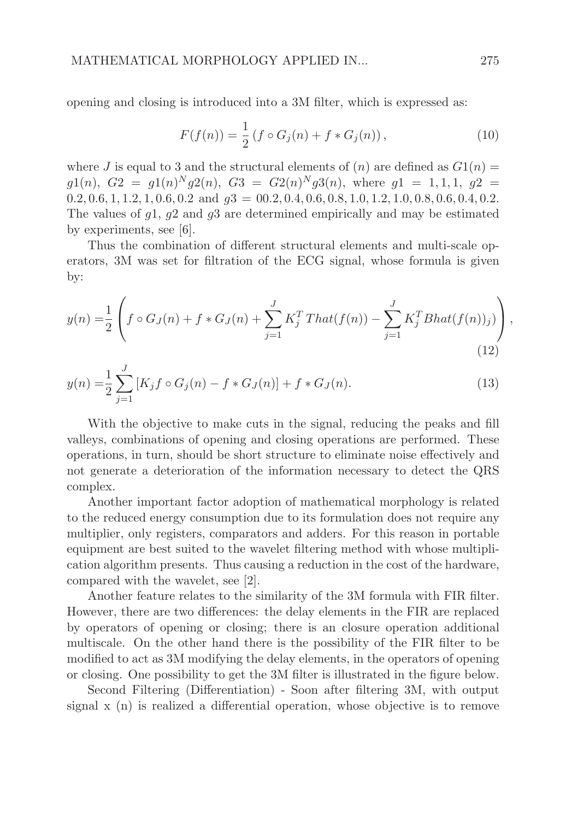opening and closing is introduced into a 3M filter, which is expressed as:

$$
F(f(n)) = \frac{1}{2} (f \circ G_j(n) + f * G_j(n)),
$$
\n(10)

where J is equal to 3 and the structural elements of  $(n)$  are defined as  $G_1(n) =$  $g1(n), G2 = g1(n)^N g2(n), G3 = G2(n)^N g3(n),$  where  $g1 = 1, 1, 1, g2 =$  $0.2, 0.6, 1, 1.2, 1, 0.6, 0.2$  and  $q3 = 00.2, 0.4, 0.6, 0.8, 1.0, 1.2, 1.0, 0.8, 0.6, 0.4, 0.2.$ The values of  $q_1$ ,  $q_2$  and  $q_3$  are determined empirically and may be estimated by experiments, see [6].

Thus the combination of different structural elements and multi-scale operators, 3M was set for filtration of the ECG signal, whose formula is given by:

$$
y(n) = \frac{1}{2} \left( f \circ G_J(n) + f * G_J(n) + \sum_{j=1}^{J} K_j^T \operatorname{That}(f(n)) - \sum_{j=1}^{J} K_j^T \operatorname{Bhat}(f(n))_j) \right),\tag{12}
$$

$$
y(n) = \frac{1}{2} \sum_{j=1}^{J} \left[ K_j f \circ G_j(n) - f * G_J(n) \right] + f * G_J(n). \tag{13}
$$

With the objective to make cuts in the signal, reducing the peaks and fill valleys, combinations of opening and closing operations are performed. These operations, in turn, should be short structure to eliminate noise effectively and not generate a deterioration of the information necessary to detect the QRS complex.

Another important factor adoption of mathematical morphology is related to the reduced energy consumption due to its formulation does not require any multiplier, only registers, comparators and adders. For this reason in portable equipment are best suited to the wavelet filtering method with whose multiplication algorithm presents. Thus causing a reduction in the cost of the hardware, compared with the wavelet, see [2].

Another feature relates to the similarity of the 3M formula with FIR filter. However, there are two differences: the delay elements in the FIR are replaced by operators of opening or closing; there is an closure operation additional multiscale. On the other hand there is the possibility of the FIR filter to be modified to act as 3M modifying the delay elements, in the operators of opening or closing. One possibility to get the 3M filter is illustrated in the figure below.

Second Filtering (Differentiation) - Soon after filtering 3M, with output signal x (n) is realized a differential operation, whose objective is to remove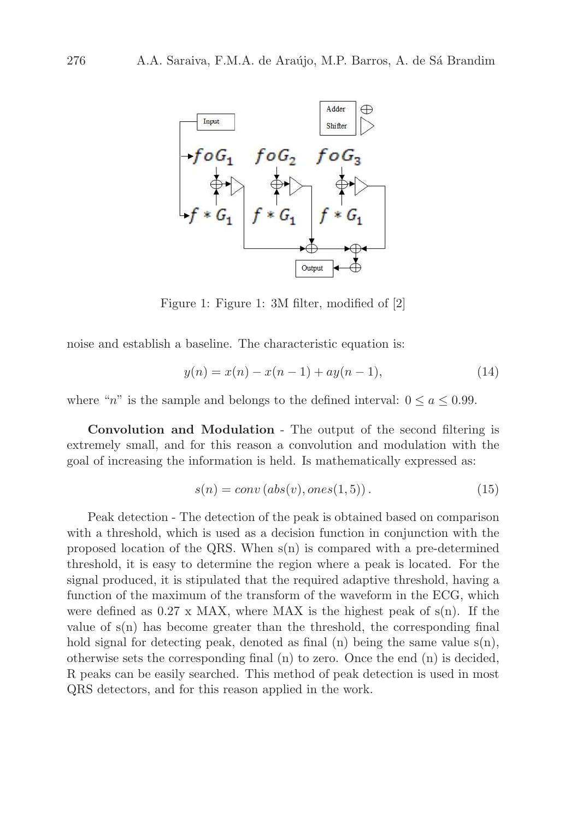

Figure 1: Figure 1: 3M filter, modified of [2]

noise and establish a baseline. The characteristic equation is:

$$
y(n) = x(n) - x(n-1) + ay(n-1),
$$
\n(14)

where "n" is the sample and belongs to the defined interval:  $0 \le a \le 0.99$ .

Convolution and Modulation - The output of the second filtering is extremely small, and for this reason a convolution and modulation with the goal of increasing the information is held. Is mathematically expressed as:

$$
s(n) = conv\left(abs(v), ones(1,5)\right). \tag{15}
$$

Peak detection - The detection of the peak is obtained based on comparison with a threshold, which is used as a decision function in conjunction with the proposed location of the QRS. When s(n) is compared with a pre-determined threshold, it is easy to determine the region where a peak is located. For the signal produced, it is stipulated that the required adaptive threshold, having a function of the maximum of the transform of the waveform in the ECG, which were defined as  $0.27 \times MAX$ , where MAX is the highest peak of s(n). If the value of  $s(n)$  has become greater than the threshold, the corresponding final hold signal for detecting peak, denoted as final (n) being the same value  $s(n)$ , otherwise sets the corresponding final (n) to zero. Once the end (n) is decided, R peaks can be easily searched. This method of peak detection is used in most QRS detectors, and for this reason applied in the work.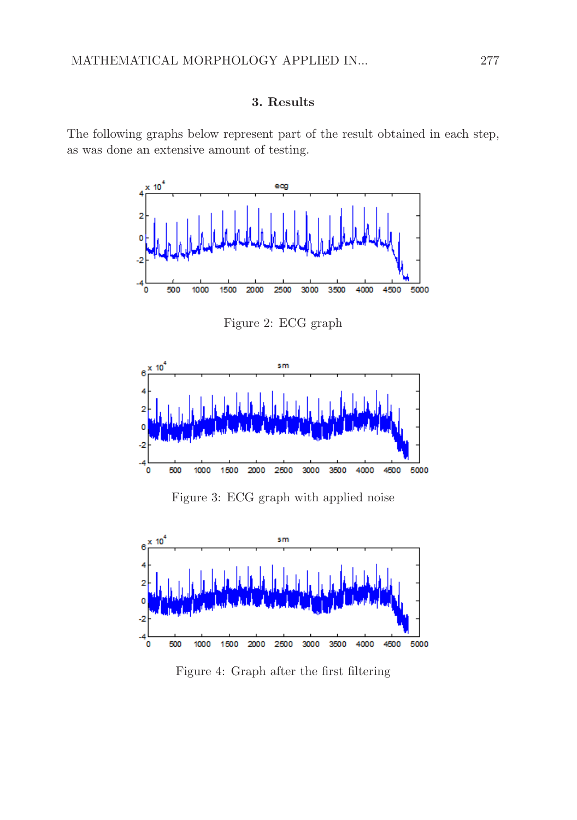#### 3. Results

The following graphs below represent part of the result obtained in each step, as was done an extensive amount of testing.



Figure 2: ECG graph



Figure 3: ECG graph with applied noise



Figure 4: Graph after the first filtering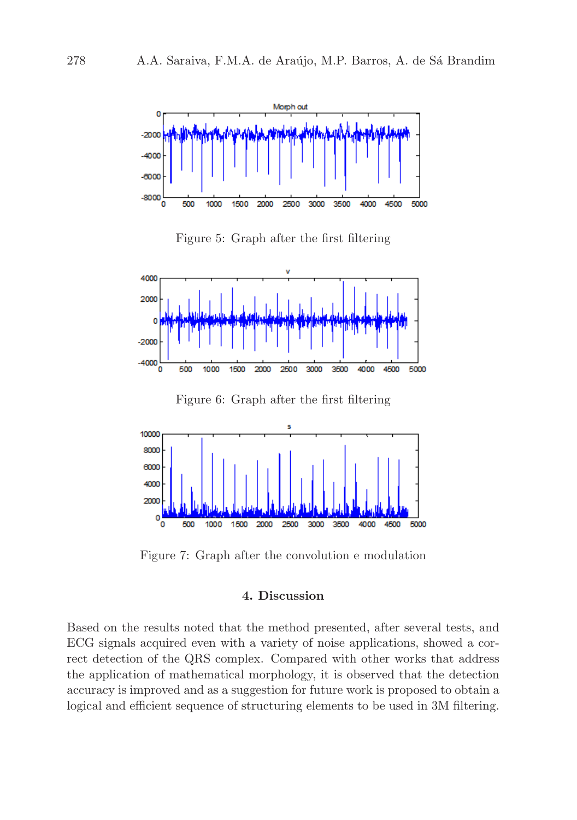

Figure 5: Graph after the first filtering



Figure 6: Graph after the first filtering



Figure 7: Graph after the convolution e modulation

#### 4. Discussion

Based on the results noted that the method presented, after several tests, and ECG signals acquired even with a variety of noise applications, showed a correct detection of the QRS complex. Compared with other works that address the application of mathematical morphology, it is observed that the detection accuracy is improved and as a suggestion for future work is proposed to obtain a logical and efficient sequence of structuring elements to be used in 3M filtering.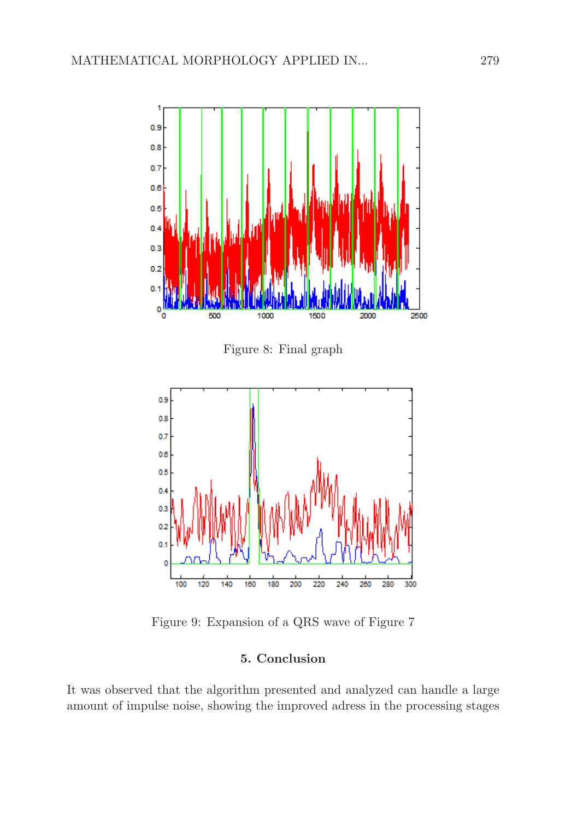

Figure 8: Final graph



Figure 9: Expansion of a QRS wave of Figure 7

## 5. Conclusion

It was observed that the algorithm presented and analyzed can handle a large amount of impulse noise, showing the improved adress in the processing stages